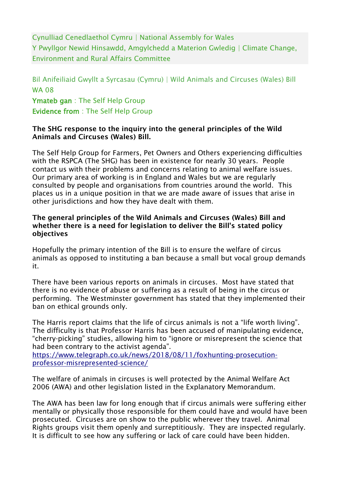Cynulliad Cenedlaethol Cymru | National Assembly for Wales Y Pwyllgor Newid Hinsawdd, Amgylchedd a Materion Gwledig | Climate Change, Environment and Rural Affairs Committee

Bil Anifeiliaid Gwyllt a Syrcasau (Cymru) | Wild Animals and Circuses (Wales) Bill WA 08 Ymateb gan : The Self Help Group Evidence from : The Self Help Group

## The SHG response to the inquiry into the general principles of the Wild Animals and Circuses (Wales) Bill.

The Self Help Group for Farmers, Pet Owners and Others experiencing difficulties with the RSPCA (The SHG) has been in existence for nearly 30 years. People contact us with their problems and concerns relating to animal welfare issues. Our primary area of working is in England and Wales but we are regularly consulted by people and organisations from countries around the world. This places us in a unique position in that we are made aware of issues that arise in other jurisdictions and how they have dealt with them.

## The general principles of the Wild Animals and Circuses (Wales) Bill and whether there is a need for legislation to deliver the Bill's stated policy objectives

Hopefully the primary intention of the Bill is to ensure the welfare of circus animals as opposed to instituting a ban because a small but vocal group demands it.

There have been various reports on animals in circuses. Most have stated that there is no evidence of abuse or suffering as a result of being in the circus or performing. The Westminster government has stated that they implemented their ban on ethical grounds only.

The Harris report claims that the life of circus animals is not a "life worth living". The difficulty is that Professor Harris has been accused of manipulating evidence, "cherry-picking" studies, allowing him to "ignore or misrepresent the science that had been contrary to the activist agenda".

[https://www.telegraph.co.uk/news/2018/08/11/foxhunting-prosecution](https://www.telegraph.co.uk/news/2018/08/11/foxhunting-prosecution-professor-misrepresented-science/)[professor-misrepresented-science/](https://www.telegraph.co.uk/news/2018/08/11/foxhunting-prosecution-professor-misrepresented-science/)

The welfare of animals in circuses is well protected by the Animal Welfare Act 2006 (AWA) and other legislation listed in the Explanatory Memorandum.

The AWA has been law for long enough that if circus animals were suffering either mentally or physically those responsible for them could have and would have been prosecuted. Circuses are on show to the public wherever they travel. Animal Rights groups visit them openly and surreptitiously. They are inspected regularly. It is difficult to see how any suffering or lack of care could have been hidden.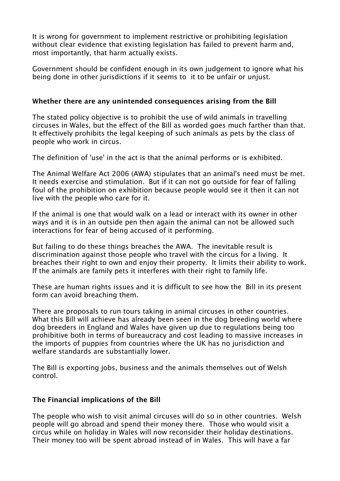It is wrong for government to implement restrictive or prohibiting legislation without clear evidence that existing legislation has failed to prevent harm and, most importantly, that harm actually exists.

Government should be confident enough in its own judgement to ignore what his being done in other jurisdictions if it seems to it to be unfair or unjust.

## Whether there are any unintended consequences arising from the Bill

The stated policy objective is to prohibit the use of wild animals in travelling circuses in Wales, but the effect of the Bill as worded goes much farther than that. It effectively prohibits the legal keeping of such animals as pets by the class of people who work in circus.

The definition of 'use' in the act is that the animal performs or is exhibited.

The Animal Welfare Act 2006 (AWA) stipulates that an animal's need must be met. It needs exercise and stimulation. But if it can not go outside for fear of falling foul of the prohibition on exhibition because people would see it then it can not live with the people who care for it.

If the animal is one that would walk on a lead or interact with its owner in other ways and it is in an outside pen then again the animal can not be allowed such interactions for fear of being accused of it performing.

But failing to do these things breaches the AWA. The inevitable result is discrimination against those people who travel with the circus for a living. It breaches their right to own and enjoy their property. It limits their ability to work. If the animals are family pets it interferes with their right to family life.

These are human rights issues and it is difficult to see how the Bill in its present form can avoid breaching them.

There are proposals to run tours taking in animal circuses in other countries. What this Bill will achieve has already been seen in the dog breeding world where dog breeders in England and Wales have given up due to regulations being too prohibitive both in terms of bureaucracy and cost leading to massive increases in the imports of puppies from countries where the UK has no jurisdiction and welfare standards are substantially lower.

The Bill is exporting jobs, business and the animals themselves out of Welsh control.

## The Financial implications of the Bill

The people who wish to visit animal circuses will do so in other countries. Welsh people will go abroad and spend their money there. Those who would visit a circus while on holiday in Wales will now reconsider their holiday destinations. Their money too will be spent abroad instead of in Wales. This will have a far